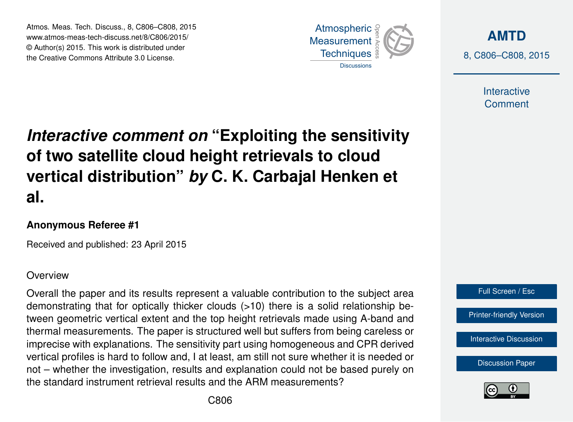Atmos. Meas. Tech. Discuss., 8, C806–C808, 2015 www.atmos-meas-tech-discuss.net/8/C806/2015/ © Author(s) 2015. This work is distributed under the Creative Commons Attribute 3.0 License.



**[AMTD](http://www.atmos-meas-tech-discuss.net)** 8, C806–C808, 2015

> Interactive **Comment**

## *Interactive comment on* **"Exploiting the sensitivity of two satellite cloud height retrievals to cloud vertical distribution"** *by* **C. K. Carbajal Henken et al.**

## **Anonymous Referee #1**

Received and published: 23 April 2015

## **Overview**

Overall the paper and its results represent a valuable contribution to the subject area demonstrating that for optically thicker clouds (>10) there is a solid relationship between geometric vertical extent and the top height retrievals made using A-band and thermal measurements. The paper is structured well but suffers from being careless or imprecise with explanations. The sensitivity part using homogeneous and CPR derived vertical profiles is hard to follow and, I at least, am still not sure whether it is needed or not – whether the investigation, results and explanation could not be based purely on the standard instrument retrieval results and the ARM measurements?



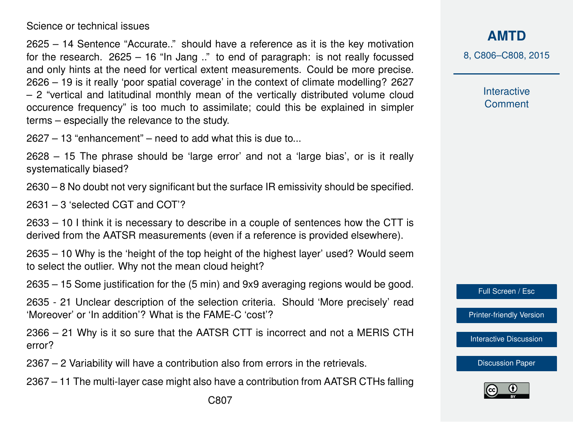Science or technical issues

2625 – 14 Sentence "Accurate.." should have a reference as it is the key motivation for the research. 2625 – 16 "In Jang .." to end of paragraph: is not really focussed and only hints at the need for vertical extent measurements. Could be more precise. 2626 – 19 is it really 'poor spatial coverage' in the context of climate modelling? 2627 – 2 "vertical and latitudinal monthly mean of the vertically distributed volume cloud occurence frequency" is too much to assimilate; could this be explained in simpler terms – especially the relevance to the study.

2627 – 13 "enhancement" – need to add what this is due to...

2628 – 15 The phrase should be 'large error' and not a 'large bias', or is it really systematically biased?

2630 – 8 No doubt not very significant but the surface IR emissivity should be specified.

2631 – 3 'selected CGT and COT'?

2633 – 10 I think it is necessary to describe in a couple of sentences how the CTT is derived from the AATSR measurements (even if a reference is provided elsewhere).

2635 – 10 Why is the 'height of the top height of the highest layer' used? Would seem to select the outlier. Why not the mean cloud height?

2635 – 15 Some justification for the (5 min) and 9x9 averaging regions would be good.

2635 - 21 Unclear description of the selection criteria. Should 'More precisely' read 'Moreover' or 'In addition'? What is the FAME-C 'cost'?

2366 – 21 Why is it so sure that the AATSR CTT is incorrect and not a MERIS CTH error?

2367 – 2 Variability will have a contribution also from errors in the retrievals.

2367 – 11 The multi-layer case might also have a contribution from AATSR CTHs falling

**[AMTD](http://www.atmos-meas-tech-discuss.net)**

8, C806–C808, 2015

Interactive **Comment** 

Full Screen / Esc

[Printer-friendly Version](http://www.atmos-meas-tech-discuss.net/8/C806/2015/amtd-8-C806-2015-print.pdf)

[Interactive Discussion](http://www.atmos-meas-tech-discuss.net/8/2623/2015/amtd-8-2623-2015-discussion.html)

[Discussion Paper](http://www.atmos-meas-tech-discuss.net/8/2623/2015/amtd-8-2623-2015.pdf)